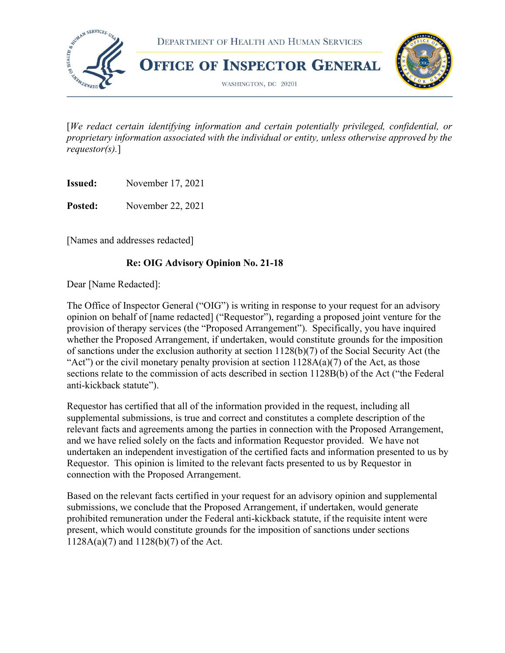

 [We redact certain identifying information and certain potentially privileged, confidential, or proprietary information associated with the individual or entity, unless otherwise approved by the requestor(s).]

**Issued:** November 17, 2021

Posted: November 22, 2021

[Names and addresses redacted]

## Re: OIG Advisory Opinion No. 21-18

Dear [Name Redacted]:

 The Office of Inspector General ("OIG") is writing in response to your request for an advisory opinion on behalf of [name redacted] ("Requestor"), regarding a proposed joint venture for the provision of therapy services (the "Proposed Arrangement"). Specifically, you have inquired whether the Proposed Arrangement, if undertaken, would constitute grounds for the imposition of sanctions under the exclusion authority at section 1128(b)(7) of the Social Security Act (the "Act") or the civil monetary penalty provision at section  $1128A(a)(7)$  of the Act, as those sections relate to the commission of acts described in section 1128B(b) of the Act ("the Federal anti-kickback statute").

 Requestor has certified that all of the information provided in the request, including all supplemental submissions, is true and correct and constitutes a complete description of the relevant facts and agreements among the parties in connection with the Proposed Arrangement, and we have relied solely on the facts and information Requestor provided. We have not undertaken an independent investigation of the certified facts and information presented to us by Requestor. This opinion is limited to the relevant facts presented to us by Requestor in connection with the Proposed Arrangement.

 Based on the relevant facts certified in your request for an advisory opinion and supplemental submissions, we conclude that the Proposed Arrangement, if undertaken, would generate prohibited remuneration under the Federal anti-kickback statute, if the requisite intent were present, which would constitute grounds for the imposition of sanctions under sections 1128A(a)(7) and 1128(b)(7) of the Act.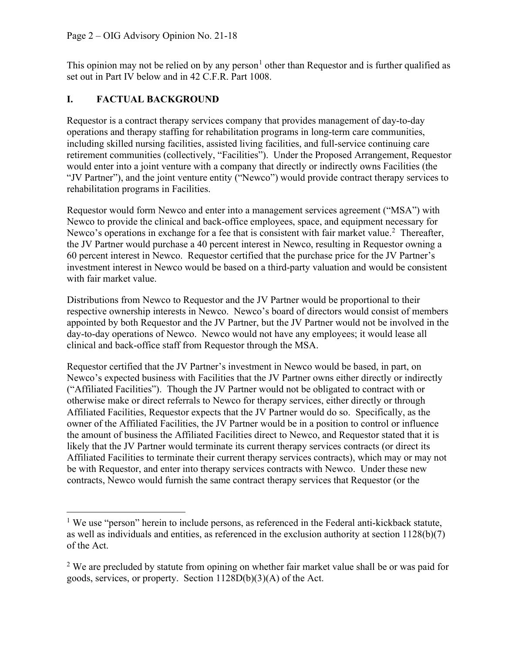This opinion may not be relied on by any person<sup>1</sup> other than Requestor and is further qualified as set out in Part IV below and in 42 C.F.R. Part 1008.

### I. FACTUAL BACKGROUND

 Requestor is a contract therapy services company that provides management of day-to-day operations and therapy staffing for rehabilitation programs in long-term care communities, including skilled nursing facilities, assisted living facilities, and full-service continuing care retirement communities (collectively, "Facilities"). Under the Proposed Arrangement, Requestor would enter into a joint venture with a company that directly or indirectly owns Facilities (the "JV Partner"), and the joint venture entity ("Newco") would provide contract therapy services to rehabilitation programs in Facilities.

 Requestor would form Newco and enter into a management services agreement ("MSA") with Newco to provide the clinical and back-office employees, space, and equipment necessary for Newco's operations in exchange for a fee that is consistent with fair market value.<sup>2</sup> Thereafter, the JV Partner would purchase a 40 percent interest in Newco, resulting in Requestor owning a 60 percent interest in Newco. Requestor certified that the purchase price for the JV Partner's investment interest in Newco would be based on a third-party valuation and would be consistent with fair market value.

 Distributions from Newco to Requestor and the JV Partner would be proportional to their respective ownership interests in Newco. Newco's board of directors would consist of members appointed by both Requestor and the JV Partner, but the JV Partner would not be involved in the day-to-day operations of Newco. Newco would not have any employees; it would lease all clinical and back-office staff from Requestor through the MSA.

 Requestor certified that the JV Partner's investment in Newco would be based, in part, on Newco's expected business with Facilities that the JV Partner owns either directly or indirectly ("Affiliated Facilities"). Though the JV Partner would not be obligated to contract with or otherwise make or direct referrals to Newco for therapy services, either directly or through Affiliated Facilities, Requestor expects that the JV Partner would do so. Specifically, as the owner of the Affiliated Facilities, the JV Partner would be in a position to control or influence the amount of business the Affiliated Facilities direct to Newco, and Requestor stated that it is likely that the JV Partner would terminate its current therapy services contracts (or direct its Affiliated Facilities to terminate their current therapy services contracts), which may or may not be with Requestor, and enter into therapy services contracts with Newco. Under these new contracts, Newco would furnish the same contract therapy services that Requestor (or the

 $1$  We use "person" herein to include persons, as referenced in the Federal anti-kickback statute, as well as individuals and entities, as referenced in the exclusion authority at section 1128(b)(7) of the Act.

 $2$  We are precluded by statute from opining on whether fair market value shall be or was paid for goods, services, or property. Section 1128D(b)(3)(A) of the Act.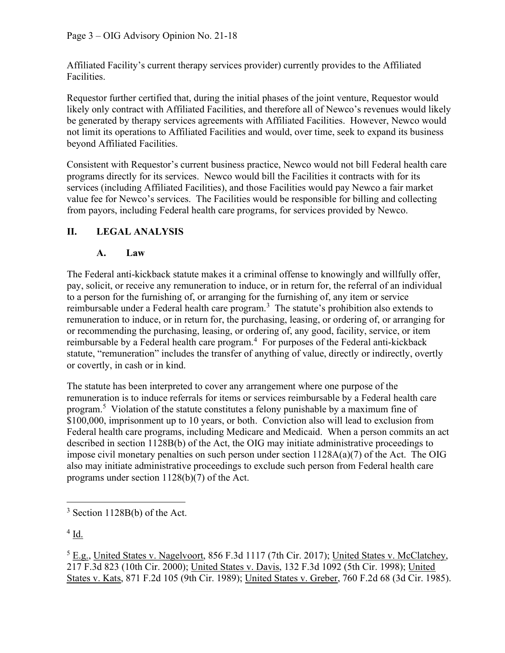Affiliated Facility's current therapy services provider) currently provides to the Affiliated Facilities.

 Requestor further certified that, during the initial phases of the joint venture, Requestor would likely only contract with Affiliated Facilities, and therefore all of Newco's revenues would likely be generated by therapy services agreements with Affiliated Facilities. However, Newco would not limit its operations to Affiliated Facilities and would, over time, seek to expand its business beyond Affiliated Facilities.

 Consistent with Requestor's current business practice, Newco would not bill Federal health care programs directly for its services. Newco would bill the Facilities it contracts with for its services (including Affiliated Facilities), and those Facilities would pay Newco a fair market value fee for Newco's services. The Facilities would be responsible for billing and collecting from payors, including Federal health care programs, for services provided by Newco.

## II. LEGAL ANALYSIS

## A. Law

 The Federal anti-kickback statute makes it a criminal offense to knowingly and willfully offer, pay, solicit, or receive any remuneration to induce, or in return for, the referral of an individual to a person for the furnishing of, or arranging for the furnishing of, any item or service reimbursable under a Federal health care program.<sup>3</sup> The statute's prohibition also extends to remuneration to induce, or in return for, the purchasing, leasing, or ordering of, or arranging for or recommending the purchasing, leasing, or ordering of, any good, facility, service, or item reimbursable by a Federal health care program.<sup>4</sup> For purposes of the Federal anti-kickback statute, "remuneration" includes the transfer of anything of value, directly or indirectly, overtly or covertly, in cash or in kind.

 The statute has been interpreted to cover any arrangement where one purpose of the remuneration is to induce referrals for items or services reimbursable by a Federal health care program.<sup>5</sup> Violation of the statute constitutes a felony punishable by a maximum fine of \$100,000, imprisonment up to 10 years, or both. Conviction also will lead to exclusion from Federal health care programs, including Medicare and Medicaid. When a person commits an act described in section 1128B(b) of the Act, the OIG may initiate administrative proceedings to impose civil monetary penalties on such person under section 1128A(a)(7) of the Act. The OIG also may initiate administrative proceedings to exclude such person from Federal health care programs under section 1128(b)(7) of the Act.

 $^4$  Id.

<sup>5</sup> E.g., United States v. Nagelvoort, 856 F.3d 1117 (7th Cir. 2017); United States v. McClatchey, 217 F.3d 823 (10th Cir. 2000); United States v. Davis, 132 F.3d 1092 (5th Cir. 1998); United States v. Kats, 871 F.2d 105 (9th Cir. 1989); United States v. Greber, 760 F.2d 68 (3d Cir. 1985).

 $3$  Section 1128B(b) of the Act.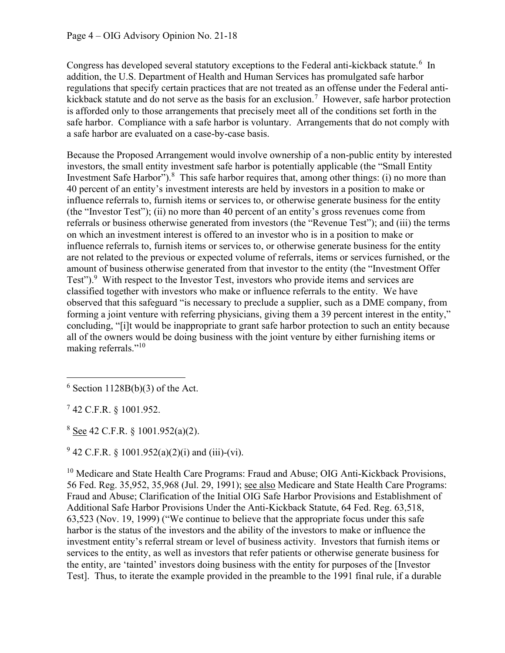Congress has developed several statutory exceptions to the Federal anti-kickback statute.<sup>6</sup> In addition, the U.S. Department of Health and Human Services has promulgated safe harbor regulations that specify certain practices that are not treated as an offense under the Federal antikickback statute and do not serve as the basis for an exclusion.<sup>7</sup> However, safe harbor protection is afforded only to those arrangements that precisely meet all of the conditions set forth in the safe harbor. Compliance with a safe harbor is voluntary. Arrangements that do not comply with a safe harbor are evaluated on a case-by-case basis.

 Because the Proposed Arrangement would involve ownership of a non-public entity by interested investors, the small entity investment safe harbor is potentially applicable (the "Small Entity Investment Safe Harbor"). $8$  This safe harbor requires that, among other things: (i) no more than 40 percent of an entity's investment interests are held by investors in a position to make or influence referrals to, furnish items or services to, or otherwise generate business for the entity (the "Investor Test"); (ii) no more than 40 percent of an entity's gross revenues come from referrals or business otherwise generated from investors (the "Revenue Test"); and (iii) the terms on which an investment interest is offered to an investor who is in a position to make or influence referrals to, furnish items or services to, or otherwise generate business for the entity are not related to the previous or expected volume of referrals, items or services furnished, or the amount of business otherwise generated from that investor to the entity (the "Investment Offer Test"). $9$  With respect to the Investor Test, investors who provide items and services are classified together with investors who make or influence referrals to the entity. We have observed that this safeguard "is necessary to preclude a supplier, such as a DME company, from forming a joint venture with referring physicians, giving them a 39 percent interest in the entity," concluding, "[i]t would be inappropriate to grant safe harbor protection to such an entity because all of the owners would be doing business with the joint venture by either furnishing items or making referrals."<sup>10</sup>

 $8 \text{ See } 42 \text{ C.F.R. } § 1001.952(a)(2).$ 

 $9^9$  42 C.F.R. § 1001.952(a)(2)(i) and (iii)-(vi).

<sup>10</sup> Medicare and State Health Care Programs: Fraud and Abuse; OIG Anti-Kickback Provisions, 56 Fed. Reg. 35,952, 35,968 (Jul. 29, 1991); see also Medicare and State Health Care Programs: Fraud and Abuse; Clarification of the Initial OIG Safe Harbor Provisions and Establishment of Additional Safe Harbor Provisions Under the Anti-Kickback Statute, 64 Fed. Reg. 63,518, 63,523 (Nov. 19, 1999) ("We continue to believe that the appropriate focus under this safe harbor is the status of the investors and the ability of the investors to make or influence the investment entity's referral stream or level of business activity. Investors that furnish items or services to the entity, as well as investors that refer patients or otherwise generate business for the entity, are 'tainted' investors doing business with the entity for purposes of the [Investor Test]. Thus, to iterate the example provided in the preamble to the 1991 final rule, if a durable

 $6$  Section 1128B(b)(3) of the Act.

 $7$  42 C.F.R. § 1001.952.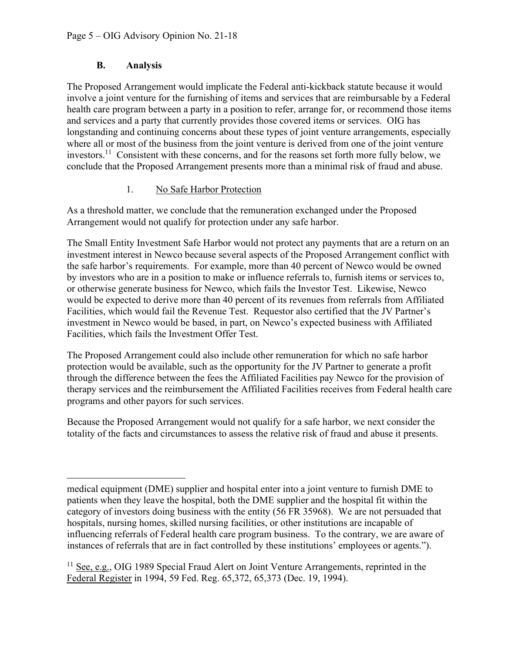#### B. Analysis

 The Proposed Arrangement would implicate the Federal anti-kickback statute because it would involve a joint venture for the furnishing of items and services that are reimbursable by a Federal health care program between a party in a position to refer, arrange for, or recommend those items and services and a party that currently provides those covered items or services. OIG has longstanding and continuing concerns about these types of joint venture arrangements, especially where all or most of the business from the joint venture is derived from one of the joint venture investors.<sup>11</sup> Consistent with these concerns, and for the reasons set forth more fully below, we conclude that the Proposed Arrangement presents more than a minimal risk of fraud and abuse.

### 1. No Safe Harbor Protection

 As a threshold matter, we conclude that the remuneration exchanged under the Proposed Arrangement would not qualify for protection under any safe harbor.

 The Small Entity Investment Safe Harbor would not protect any payments that are a return on an investment interest in Newco because several aspects of the Proposed Arrangement conflict with the safe harbor's requirements. For example, more than 40 percent of Newco would be owned by investors who are in a position to make or influence referrals to, furnish items or services to, or otherwise generate business for Newco, which fails the Investor Test. Likewise, Newco would be expected to derive more than 40 percent of its revenues from referrals from Affiliated Facilities, which would fail the Revenue Test. Requestor also certified that the JV Partner's investment in Newco would be based, in part, on Newco's expected business with Affiliated Facilities, which fails the Investment Offer Test.

 The Proposed Arrangement could also include other remuneration for which no safe harbor protection would be available, such as the opportunity for the JV Partner to generate a profit through the difference between the fees the Affiliated Facilities pay Newco for the provision of therapy services and the reimbursement the Affiliated Facilities receives from Federal health care programs and other payors for such services.

 Because the Proposed Arrangement would not qualify for a safe harbor, we next consider the totality of the facts and circumstances to assess the relative risk of fraud and abuse it presents.

 medical equipment (DME) supplier and hospital enter into a joint venture to furnish DME to patients when they leave the hospital, both the DME supplier and the hospital fit within the category of investors doing business with the entity (56 FR 35968). We are not persuaded that hospitals, nursing homes, skilled nursing facilities, or other institutions are incapable of influencing referrals of Federal health care program business. To the contrary, we are aware of instances of referrals that are in fact controlled by these institutions' employees or agents.").

<sup>&</sup>lt;sup>11</sup> See, e.g., OIG 1989 Special Fraud Alert on Joint Venture Arrangements, reprinted in the Federal Register in 1994, 59 Fed. Reg. 65,372, 65,373 (Dec. 19, 1994).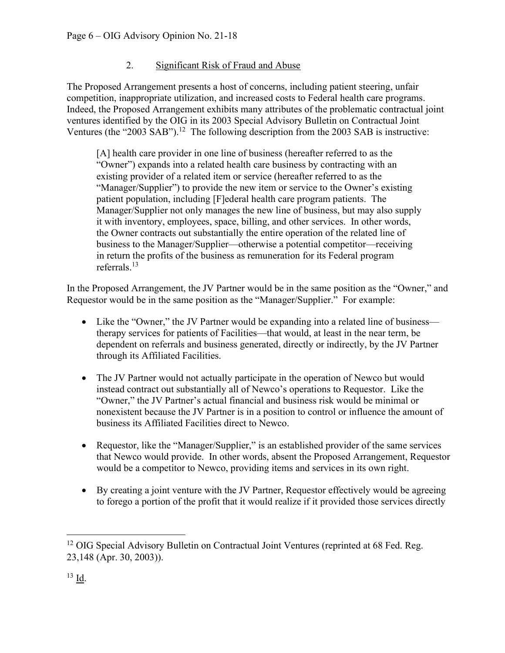## 2. Significant Risk of Fraud and Abuse

 The Proposed Arrangement presents a host of concerns, including patient steering, unfair competition, inappropriate utilization, and increased costs to Federal health care programs. Indeed, the Proposed Arrangement exhibits many attributes of the problematic contractual joint ventures identified by the OIG in its 2003 Special Advisory Bulletin on Contractual Joint Ventures (the "2003 SAB").<sup>12</sup> The following description from the 2003 SAB is instructive:

 [A] health care provider in one line of business (hereafter referred to as the "Owner") expands into a related health care business by contracting with an existing provider of a related item or service (hereafter referred to as the "Manager/Supplier") to provide the new item or service to the Owner's existing patient population, including [F]ederal health care program patients. The Manager/Supplier not only manages the new line of business, but may also supply it with inventory, employees, space, billing, and other services. In other words, the Owner contracts out substantially the entire operation of the related line of business to the Manager/Supplier—otherwise a potential competitor—receiving in return the profits of the business as remuneration for its Federal program referrals.<sup>13</sup>

 In the Proposed Arrangement, the JV Partner would be in the same position as the "Owner," and Requestor would be in the same position as the "Manager/Supplier." For example:

- Like the "Owner," the JV Partner would be expanding into a related line of business— therapy services for patients of Facilities—that would, at least in the near term, be dependent on referrals and business generated, directly or indirectly, by the JV Partner through its Affiliated Facilities.
- The JV Partner would not actually participate in the operation of Newco but would instead contract out substantially all of Newco's operations to Requestor. Like the "Owner," the JV Partner's actual financial and business risk would be minimal or nonexistent because the JV Partner is in a position to control or influence the amount of business its Affiliated Facilities direct to Newco.
- Requestor, like the "Manager/Supplier," is an established provider of the same services that Newco would provide. In other words, absent the Proposed Arrangement, Requestor would be a competitor to Newco, providing items and services in its own right.
- By creating a joint venture with the JV Partner, Requestor effectively would be agreeing to forego a portion of the profit that it would realize if it provided those services directly

<sup>&</sup>lt;sup>12</sup> OIG Special Advisory Bulletin on Contractual Joint Ventures (reprinted at 68 Fed. Reg. 23,148 (Apr. 30, 2003)).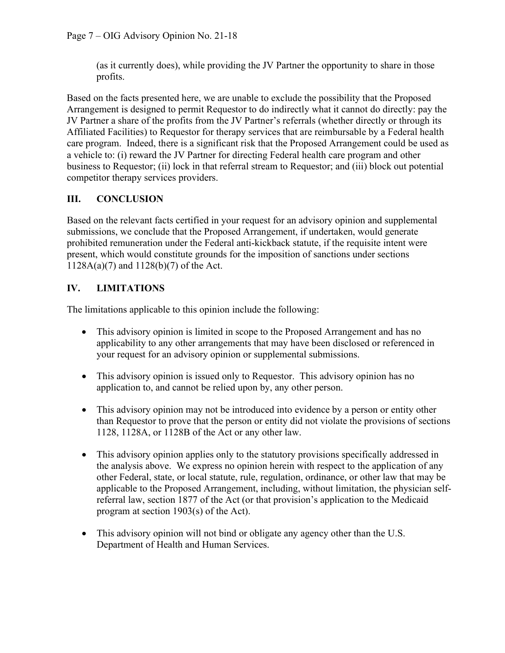(as it currently does), while providing the JV Partner the opportunity to share in those profits.

 Based on the facts presented here, we are unable to exclude the possibility that the Proposed Arrangement is designed to permit Requestor to do indirectly what it cannot do directly: pay the JV Partner a share of the profits from the JV Partner's referrals (whether directly or through its Affiliated Facilities) to Requestor for therapy services that are reimbursable by a Federal health care program. Indeed, there is a significant risk that the Proposed Arrangement could be used as a vehicle to: (i) reward the JV Partner for directing Federal health care program and other business to Requestor; (ii) lock in that referral stream to Requestor; and (iii) block out potential competitor therapy services providers.

## III. CONCLUSION

 Based on the relevant facts certified in your request for an advisory opinion and supplemental submissions, we conclude that the Proposed Arrangement, if undertaken, would generate prohibited remuneration under the Federal anti-kickback statute, if the requisite intent were present, which would constitute grounds for the imposition of sanctions under sections 1128A(a)(7) and 1128(b)(7) of the Act.

# IV. LIMITATIONS

The limitations applicable to this opinion include the following:

- This advisory opinion is limited in scope to the Proposed Arrangement and has no applicability to any other arrangements that may have been disclosed or referenced in your request for an advisory opinion or supplemental submissions.
- This advisory opinion is issued only to Requestor. This advisory opinion has no application to, and cannot be relied upon by, any other person.
- This advisory opinion may not be introduced into evidence by a person or entity other than Requestor to prove that the person or entity did not violate the provisions of sections 1128, 1128A, or 1128B of the Act or any other law.
- This advisory opinion applies only to the statutory provisions specifically addressed in the analysis above. We express no opinion herein with respect to the application of any other Federal, state, or local statute, rule, regulation, ordinance, or other law that may be applicable to the Proposed Arrangement, including, without limitation, the physician self- referral law, section 1877 of the Act (or that provision's application to the Medicaid program at section 1903(s) of the Act).
- This advisory opinion will not bind or obligate any agency other than the U.S. Department of Health and Human Services.